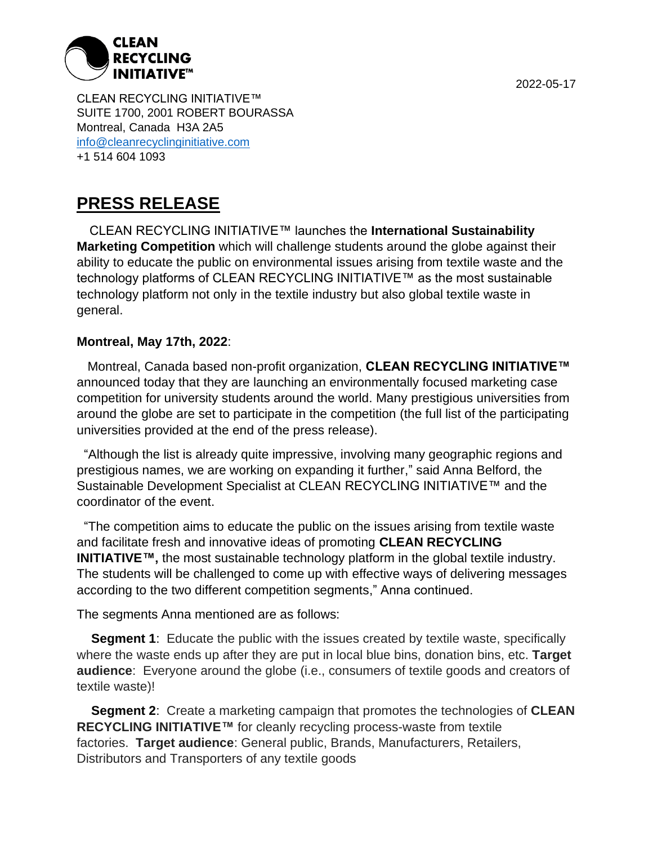

CLEAN RECYCLING INITIATIVE™ SUITE 1700, 2001 ROBERT BOURASSA Montreal, Canada H3A 2A5 info@cleanrecyclinginitiative.com +1 514 604 1093

## **PRESS RELEASE**

CLEAN RECYCLING INITIATIVE™ launches the **International Sustainability Marketing Competition** which will challenge students around the globe against their ability to educate the public on environmental issues arising from textile waste and the technology platforms of CLEAN RECYCLING INITIATIVE™ as the most sustainable technology platform not only in the textile industry but also global textile waste in general.

## **Montreal, May 17th, 2022**:

 Montreal, Canada based non-profit organization, **CLEAN RECYCLING INITIATIVE™** announced today that they are launching an environmentally focused marketing case competition for university students around the world. Many prestigious universities from around the globe are set to participate in the competition (the full list of the participating universities provided at the end of the press release).

 "Although the list is already quite impressive, involving many geographic regions and prestigious names, we are working on expanding it further," said Anna Belford, the Sustainable Development Specialist at CLEAN RECYCLING INITIATIVE™ and the coordinator of the event.

 "The competition aims to educate the public on the issues arising from textile waste and facilitate fresh and innovative ideas of promoting **CLEAN RECYCLING INITIATIVE™,** the most sustainable technology platform in the global textile industry. The students will be challenged to come up with effective ways of delivering messages according to the two different competition segments," Anna continued.

The segments Anna mentioned are as follows:

**Segment 1:** Educate the public with the issues created by textile waste, specifically where the waste ends up after they are put in local blue bins, donation bins, etc. **Target audience**: Everyone around the globe (i.e., consumers of textile goods and creators of textile waste)!

**Segment 2**: Create a marketing campaign that promotes the technologies of **CLEAN RECYCLING INITIATIVE™** for cleanly recycling process-waste from textile factories. **Target audience**: General public, Brands, Manufacturers, Retailers, Distributors and Transporters of any textile goods